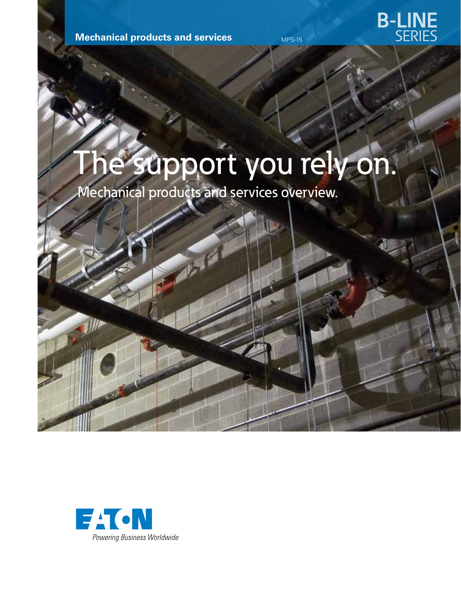**Mechanical products and services** 

# The support you rely on.

Mechanical products and services overview.



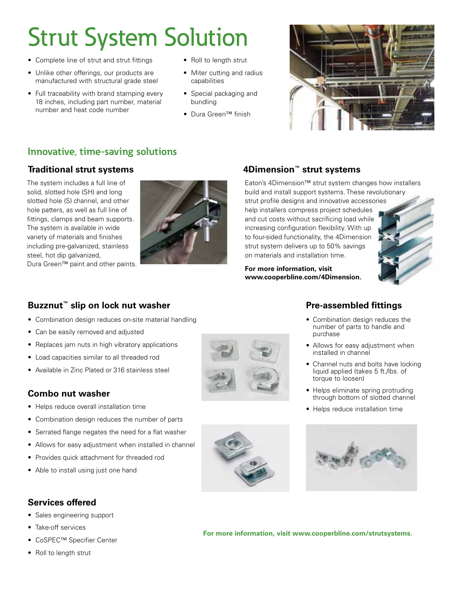## Strut System Solution

- Complete line of strut and strut fittings
- Unlike other offerings, our products are manufactured with structural grade steel
- Full traceability with brand stamping every 18 inches, including part number, material number and heat code number
- Roll to length strut
- Miter cutting and radius capabilities
- Special packaging and bundling
- • Dura Green™ finish



#### **Innovative, time-saving solutions**

The system includes a full line of solid, slotted hole (SH) and long slotted hole (S) channel, and other hole patters, as well as full line of fittings, clamps and beam supports. The system is available in wide variety of materials and finishes including pre-galvanized, stainless steel, hot dip galvanized,

Dura Green™ paint and other paints.



#### **Traditional strut systems 4Dimension™ strut systems**

Eaton's 4Dimension™ strut system changes how installers build and install support systems. These revolutionary strut profile designs and innovative accessories help installers compress project schedules and cut costs without sacrificing load while increasing configuration flexibility. With up to four-sided functionality, the 4Dimension strut system delivers up to 50% savings on materials and installation time.

**For more information, visit www.cooperbline.com/4Dimension.**



#### **Buzznut™ slip on lock nut washer**

- Combination design reduces on-site material handling
- Can be easily removed and adjusted
- Replaces jam nuts in high vibratory applications
- • Load capacities similar to all threaded rod
- Available in Zinc Plated or 316 stainless steel

#### **Combo nut washer**

- • Helps reduce overall installation time
- Combination design reduces the number of parts
- Serrated flange negates the need for a flat washer
- Allows for easy adjustment when installed in channel
- • Provides quick attachment for threaded rod
- Able to install using just one hand

#### **Services offered**

- • Sales engineering support
- Take-off services
- • CoSPEC™ Specifier Center
- Roll to length strut





- Combination design reduces the number of parts to handle and purchase
- Allows for easy adjustment when installed in channel
- Channel nuts and bolts have locking liquid applied (takes 5 ft./lbs. of torque to loosen)
- Helps eliminate spring protruding through bottom of slotted channel
- Helps reduce installation time



**For more information, visit www.cooperbline.com/strutsystems.**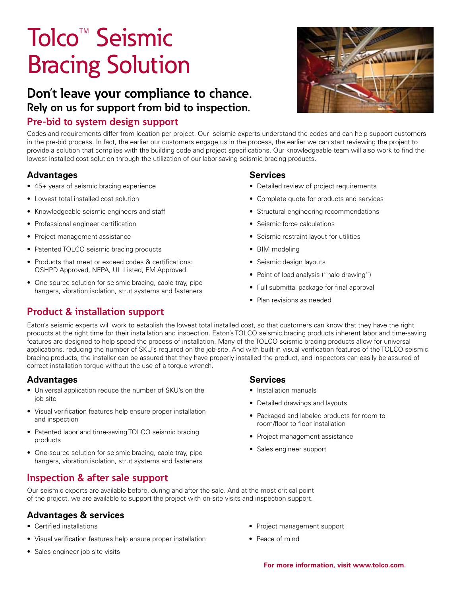## Tolco™ Seismic Bracing Solution

### **Don't leave your compliance to chance. Rely on us for support from bid to inspection.**

#### **Pre-bid to system design support**

Codes and requirements differ from location per project. Our seismic experts understand the codes and can help support customers in the pre-bid process. In fact, the earlier our customers engage us in the process, the earlier we can start reviewing the project to provide a solution that complies with the building code and project specifications. Our knowledgeable team will also work to find the lowest installed cost solution through the utilization of our labor-saving seismic bracing products.

#### **Advantages**

- 45+ years of seismic bracing experience
- • Lowest total installed cost solution
- • Knowledgeable seismic engineers and staff
- • Professional engineer certification
- Project management assistance
- Patented TOLCO seismic bracing products
- Products that meet or exceed codes & certifications: OSHPD Approved, NFPA, UL Listed, FM Approved
- One-source solution for seismic bracing, cable tray, pipe hangers, vibration isolation, strut systems and fasteners

#### **Product & installation support**

#### **Services**

- • Detailed review of project requirements
- Complete quote for products and services
- • Structural engineering recommendations
- Seismic force calculations
- • Seismic restraint layout for utilities
- BIM modeling
- Seismic design layouts
- Point of load analysis ("halo drawing")
- Full submittal package for final approval
- Plan revisions as needed

Eaton's seismic experts will work to establish the lowest total installed cost, so that customers can know that they have the right products at the right time for their installation and inspection. Eaton's TOLCO seismic bracing products inherent labor and time-saving features are designed to help speed the process of installation. Many of the TOLCO seismic bracing products allow for universal applications, reducing the number of SKU's required on the job-site. And with built-in visual verification features of the TOLCO seismic bracing products, the installer can be assured that they have properly installed the product, and inspectors can easily be assured of correct installation torque without the use of a torque wrench.

#### **Advantages**

- Universal application reduce the number of SKU's on the job-site
- Visual verification features help ensure proper installation and inspection
- Patented labor and time-saving TOLCO seismic bracing products
- One-source solution for seismic bracing, cable tray, pipe hangers, vibration isolation, strut systems and fasteners

### **Inspection & after sale support**

Our seismic experts are available before, during and after the sale. And at the most critical point of the project, we are available to support the project with on-site visits and inspection support.

#### **Advantages & services**

- • Certified installations
- Visual verification features help ensure proper installation
- Sales engineer job-site visits

#### **Services**

- • Installation manuals
- Detailed drawings and layouts
- Packaged and labeled products for room to room/floor to floor installation
- Project management assistance
- Sales engineer support

- Project management support
- Peace of mind

**For more information, visit www.tolco.com.**

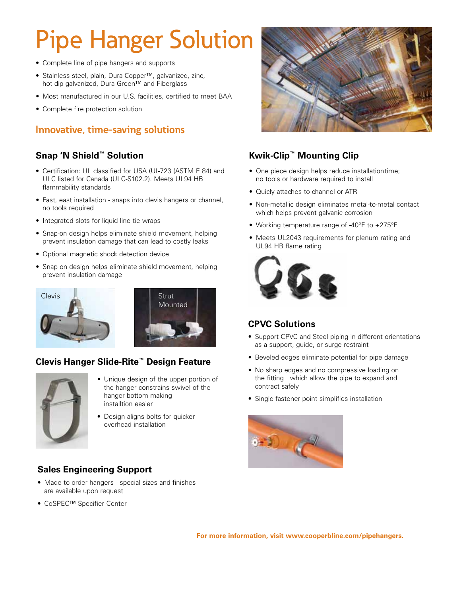## Pipe Hanger Solution

- Complete line of pipe hangers and supports
- • Stainless steel, plain, Dura-Copper™, galvanized, zinc, hot dip galvanized, Dura Green™ and Fiberglass
- Most manufactured in our U.S. facilities, certified to meet BAA
- Complete fire protection solution

### **Innovative, time-saving solutions**

#### **Snap 'N Shield™ Solution**

- Certification: UL classified for USA (UL-723 (ASTM E 84) and ULC listed for Canada (ULC-S102.2). Meets UL94 HB flammability standards
- Fast, east installation snaps into clevis hangers or channel, no tools required
- Integrated slots for liquid line tie wraps
- Snap-on design helps eliminate shield movement, helping prevent insulation damage that can lead to costly leaks
- Optional magnetic shock detection device
- Snap on design helps eliminate shield movement, helping prevent insulation damage





#### **Clevis Hanger Slide-Rite™ Design Feature**



- Unique design of the upper portion of the hanger constrains swivel of the hanger bottom making installtion easier
- Design aligns bolts for quicker overhead installation

#### **Sales Engineering Support**

- Made to order hangers special sizes and finishes are available upon request
- • CoSPEC™ Specifier Center



#### **Kwik-Clip™ Mounting Clip**

- One piece design helps reduce installationtime; no tools or hardware required to install
- Quicly attaches to channel or ATR
- Non-metallic design eliminates metal-to-metal contact which helps prevent galvanic corrosion
- Working temperature range of -40°F to +275°F
- Meets UL2043 requirements for plenum rating and UL94 HB flame rating



#### **CPVC Solutions**

- Support CPVC and Steel piping in different orientations as a support, guide, or surge restraint
- Beveled edges eliminate potential for pipe damage
- No sharp edges and no compressive loading on the fitting which allow the pipe to expand and contract safely
- Single fastener point simplifies installation



**For more information, visit www.cooperbline.com/pipehangers.**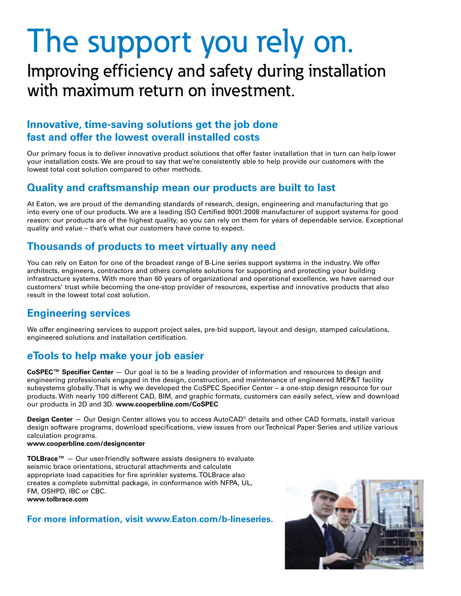# The support you rely on.

### Improving efficiency and safety during installation with maximum return on investment.

#### **Innovative, time-saving solutions get the job done fast and offer the lowest overall installed costs**

Our primary focus is to deliver innovative product solutions that offer faster installation that in turn can help lower your installation costs. We are proud to say that we're consistently able to help provide our customers with the lowest total cost solution compared to other methods.

#### **Quality and craftsmanship mean our products are built to last**

At Eaton, we are proud of the demanding standards of research, design, engineering and manufacturing that go into every one of our products. We are a leading ISO Certified 9001:2008 manufacturer of support systems for good reason: our products are of the highest quality, so you can rely on them for years of dependable service. Exceptional quality and value – that's what our customers have come to expect.

#### **Thousands of products to meet virtually any need**

You can rely on Eaton for one of the broadest range of B-Line series support systems in the industry. We offer architects, engineers, contractors and others complete solutions for supporting and protecting your building infrastructure systems. With more than 60 years of organizational and operational excellence, we have earned our customers' trust while becoming the one-stop provider of resources, expertise and innovative products that also result in the lowest total cost solution.

### **Engineering services**

We offer engineering services to support project sales, pre-bid support, layout and design, stamped calculations, engineered solutions and installation certification.

#### **eTools to help make your job easier**

**CoSPEC™ Specifier Center** — Our goal is to be a leading provider of information and resources to design and engineering professionals engaged in the design, construction, and maintenance of engineered MEP&T facility subsystems globally. That is why we developed the CoSPEC Specifier Center – a one-stop design resource for our products. With nearly 100 different CAD, BIM, and graphic formats, customers can easily select, view and download our products in 2D and 3D. **www.cooperbline.com/CoSPEC**

**Design Center** — Our Design Center allows you to access AutoCAD® details and other CAD formats, install various design software programs, download specifications, view issues from our Technical Paper Series and utilize various calculation programs.

#### **www.cooperbline.com/designcenter**

**TOLBrace™** — Our user-friendly software assists designers to evaluate seismic brace orientations, structural attachments and calculate appropriate load capacities for fire sprinkler systems. TOLBrace also creates a complete submittal package, in conformance with NFPA, UL, FM, OSHPD, IBC or CBC. **www.tolbrace.com**

#### **For more information, visit www.Eaton.com/b-lineseries.**